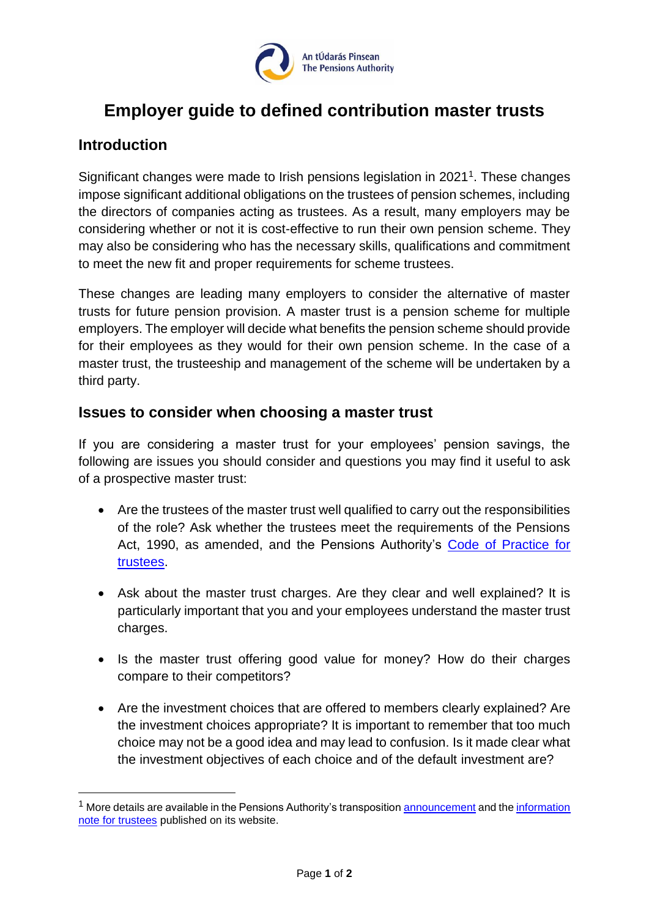

## **Employer guide to defined contribution master trusts**

## **Introduction**

Significant changes were made to Irish pensions legislation in 2021<sup>1</sup>. These changes impose significant additional obligations on the trustees of pension schemes, including the directors of companies acting as trustees. As a result, many employers may be considering whether or not it is cost-effective to run their own pension scheme. They may also be considering who has the necessary skills, qualifications and commitment to meet the new fit and proper requirements for scheme trustees.

These changes are leading many employers to consider the alternative of master trusts for future pension provision. A master trust is a pension scheme for multiple employers. The employer will decide what benefits the pension scheme should provide for their employees as they would for their own pension scheme. In the case of a master trust, the trusteeship and management of the scheme will be undertaken by a third party.

## **Issues to consider when choosing a master trust**

If you are considering a master trust for your employees' pension savings, the following are issues you should consider and questions you may find it useful to ask of a prospective master trust:

- Are the trustees of the master trust well qualified to carry out the responsibilities of the role? Ask whether the trustees meet the requirements of the Pensions Act, 1990, as amended, and the Pensions Authority's [Code of Practice for](https://www.pensionsauthority.ie/en/trustees_registered_administrators/code_of_practice_for_trustees/code_of_practice_for_trustees.pdf)  [trustees.](https://www.pensionsauthority.ie/en/trustees_registered_administrators/code_of_practice_for_trustees/code_of_practice_for_trustees.pdf)
- Ask about the master trust charges. Are they clear and well explained? It is particularly important that you and your employees understand the master trust charges.
- Is the master trust offering good value for money? How do their charges compare to their competitors?
- Are the investment choices that are offered to members clearly explained? Are the investment choices appropriate? It is important to remember that too much choice may not be a good idea and may lead to confusion. Is it made clear what the investment objectives of each choice and of the default investment are?

 $<sup>1</sup>$  More details are available in the Pensions Authority's transpositio[n announcement](https://www.pensionsauthority.ie/en/news_press/news_press_archive/eu_directive_iorp_ii_is_transposed_into_irish_law.html) and the information</sup> [note for trustees](https://www.pensionsauthority.ie/en/news_press/news_press_archive/iorp_ii_regulations_-_information_for_trustees.pdf) published on its website.